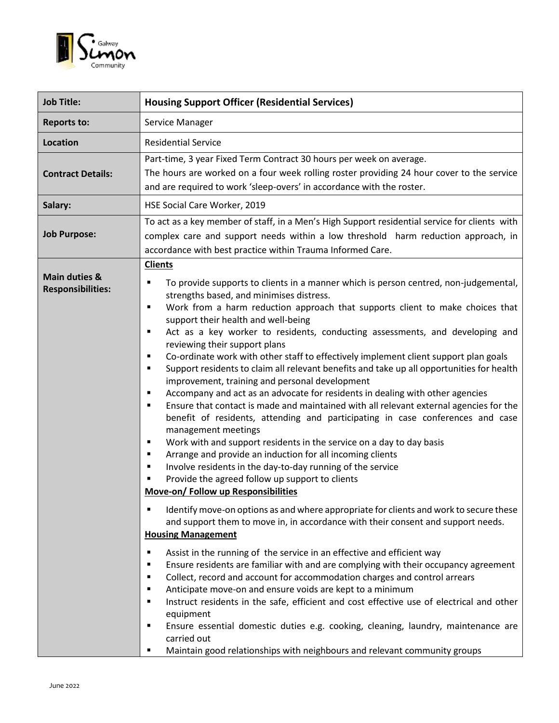

| <b>Job Title:</b>                                    | <b>Housing Support Officer (Residential Services)</b>                                                                                                                                                                                                                                                                                                                                                                                                                                                                                                                                                                                                                                                                                                                                                                                                                                                                                                                                                                                                                                                                                                                                                                                                                                                                                                                                                                                                                                                                                                                                                                                                                                                                                                                                                                                                                                                                                                                                                                                                                                                                                              |
|------------------------------------------------------|----------------------------------------------------------------------------------------------------------------------------------------------------------------------------------------------------------------------------------------------------------------------------------------------------------------------------------------------------------------------------------------------------------------------------------------------------------------------------------------------------------------------------------------------------------------------------------------------------------------------------------------------------------------------------------------------------------------------------------------------------------------------------------------------------------------------------------------------------------------------------------------------------------------------------------------------------------------------------------------------------------------------------------------------------------------------------------------------------------------------------------------------------------------------------------------------------------------------------------------------------------------------------------------------------------------------------------------------------------------------------------------------------------------------------------------------------------------------------------------------------------------------------------------------------------------------------------------------------------------------------------------------------------------------------------------------------------------------------------------------------------------------------------------------------------------------------------------------------------------------------------------------------------------------------------------------------------------------------------------------------------------------------------------------------------------------------------------------------------------------------------------------------|
| <b>Reports to:</b>                                   | Service Manager                                                                                                                                                                                                                                                                                                                                                                                                                                                                                                                                                                                                                                                                                                                                                                                                                                                                                                                                                                                                                                                                                                                                                                                                                                                                                                                                                                                                                                                                                                                                                                                                                                                                                                                                                                                                                                                                                                                                                                                                                                                                                                                                    |
| <b>Location</b>                                      | <b>Residential Service</b>                                                                                                                                                                                                                                                                                                                                                                                                                                                                                                                                                                                                                                                                                                                                                                                                                                                                                                                                                                                                                                                                                                                                                                                                                                                                                                                                                                                                                                                                                                                                                                                                                                                                                                                                                                                                                                                                                                                                                                                                                                                                                                                         |
| <b>Contract Details:</b>                             | Part-time, 3 year Fixed Term Contract 30 hours per week on average.<br>The hours are worked on a four week rolling roster providing 24 hour cover to the service<br>and are required to work 'sleep-overs' in accordance with the roster.                                                                                                                                                                                                                                                                                                                                                                                                                                                                                                                                                                                                                                                                                                                                                                                                                                                                                                                                                                                                                                                                                                                                                                                                                                                                                                                                                                                                                                                                                                                                                                                                                                                                                                                                                                                                                                                                                                          |
| Salary:                                              | HSE Social Care Worker, 2019                                                                                                                                                                                                                                                                                                                                                                                                                                                                                                                                                                                                                                                                                                                                                                                                                                                                                                                                                                                                                                                                                                                                                                                                                                                                                                                                                                                                                                                                                                                                                                                                                                                                                                                                                                                                                                                                                                                                                                                                                                                                                                                       |
| <b>Job Purpose:</b>                                  | To act as a key member of staff, in a Men's High Support residential service for clients with<br>complex care and support needs within a low threshold harm reduction approach, in<br>accordance with best practice within Trauma Informed Care.                                                                                                                                                                                                                                                                                                                                                                                                                                                                                                                                                                                                                                                                                                                                                                                                                                                                                                                                                                                                                                                                                                                                                                                                                                                                                                                                                                                                                                                                                                                                                                                                                                                                                                                                                                                                                                                                                                   |
| <b>Main duties &amp;</b><br><b>Responsibilities:</b> | <b>Clients</b><br>To provide supports to clients in a manner which is person centred, non-judgemental,<br>Е<br>strengths based, and minimises distress.<br>Work from a harm reduction approach that supports client to make choices that<br>٠<br>support their health and well-being<br>Act as a key worker to residents, conducting assessments, and developing and<br>٠<br>reviewing their support plans<br>Co-ordinate work with other staff to effectively implement client support plan goals<br>٠<br>Support residents to claim all relevant benefits and take up all opportunities for health<br>٠<br>improvement, training and personal development<br>Accompany and act as an advocate for residents in dealing with other agencies<br>٠<br>Ensure that contact is made and maintained with all relevant external agencies for the<br>$\blacksquare$<br>benefit of residents, attending and participating in case conferences and case<br>management meetings<br>Work with and support residents in the service on a day to day basis<br>٠<br>Arrange and provide an induction for all incoming clients<br>$\blacksquare$<br>Involve residents in the day-to-day running of the service<br>٠<br>Provide the agreed follow up support to clients<br>Move-on/ Follow up Responsibilities<br>Identify move-on options as and where appropriate for clients and work to secure these<br>and support them to move in, in accordance with their consent and support needs.<br><b>Housing Management</b><br>Assist in the running of the service in an effective and efficient way<br>Е<br>Ensure residents are familiar with and are complying with their occupancy agreement<br>٠<br>Collect, record and account for accommodation charges and control arrears<br>٠<br>Anticipate move-on and ensure voids are kept to a minimum<br>٠<br>Instruct residents in the safe, efficient and cost effective use of electrical and other<br>٠<br>equipment<br>Ensure essential domestic duties e.g. cooking, cleaning, laundry, maintenance are<br>٠<br>carried out<br>Maintain good relationships with neighbours and relevant community groups<br>٠ |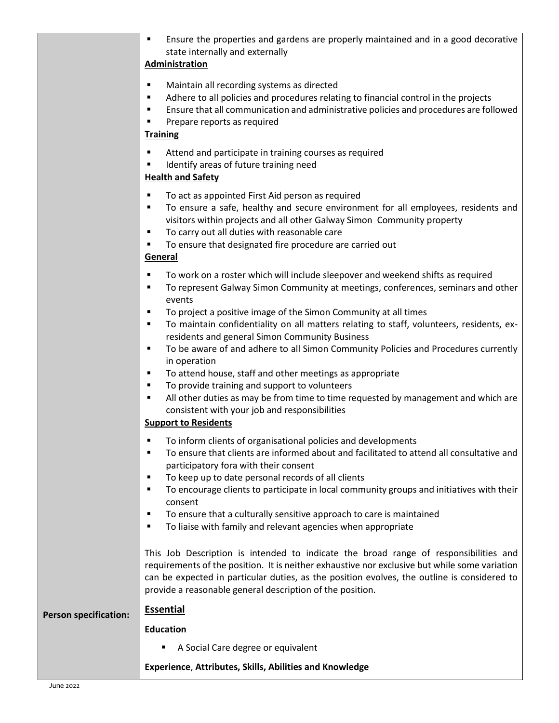|                              | Ensure the properties and gardens are properly maintained and in a good decorative<br>state internally and externally<br><b>Administration</b>                                                                                                                                                                                                                                                                                                                                                                                                       |
|------------------------------|------------------------------------------------------------------------------------------------------------------------------------------------------------------------------------------------------------------------------------------------------------------------------------------------------------------------------------------------------------------------------------------------------------------------------------------------------------------------------------------------------------------------------------------------------|
|                              |                                                                                                                                                                                                                                                                                                                                                                                                                                                                                                                                                      |
|                              | Maintain all recording systems as directed<br>٠<br>Adhere to all policies and procedures relating to financial control in the projects<br>п<br>Ensure that all communication and administrative policies and procedures are followed<br>٠<br>Prepare reports as required<br><b>Training</b>                                                                                                                                                                                                                                                          |
|                              | Attend and participate in training courses as required<br>٠<br>Identify areas of future training need<br><b>Health and Safety</b>                                                                                                                                                                                                                                                                                                                                                                                                                    |
|                              | To act as appointed First Aid person as required<br>٠<br>To ensure a safe, healthy and secure environment for all employees, residents and<br>٠<br>visitors within projects and all other Galway Simon Community property<br>To carry out all duties with reasonable care<br>٠<br>To ensure that designated fire procedure are carried out<br>٠<br>General                                                                                                                                                                                           |
|                              | To work on a roster which will include sleepover and weekend shifts as required<br>٠<br>To represent Galway Simon Community at meetings, conferences, seminars and other<br>п<br>events                                                                                                                                                                                                                                                                                                                                                              |
|                              | To project a positive image of the Simon Community at all times<br>٠<br>To maintain confidentiality on all matters relating to staff, volunteers, residents, ex-<br>٠<br>residents and general Simon Community Business<br>To be aware of and adhere to all Simon Community Policies and Procedures currently<br>٠<br>in operation<br>To attend house, staff and other meetings as appropriate<br>٠<br>To provide training and support to volunteers<br>п<br>All other duties as may be from time to time requested by management and which are<br>٠ |
|                              | consistent with your job and responsibilities<br><b>Support to Residents</b>                                                                                                                                                                                                                                                                                                                                                                                                                                                                         |
|                              | To inform clients of organisational policies and developments<br>To ensure that clients are informed about and facilitated to attend all consultative and<br>$\blacksquare$<br>participatory fora with their consent<br>To keep up to date personal records of all clients<br>٠<br>To encourage clients to participate in local community groups and initiatives with their<br>٠<br>consent                                                                                                                                                          |
|                              | To ensure that a culturally sensitive approach to care is maintained<br>٠<br>To liaise with family and relevant agencies when appropriate<br>٠                                                                                                                                                                                                                                                                                                                                                                                                       |
|                              | This Job Description is intended to indicate the broad range of responsibilities and<br>requirements of the position. It is neither exhaustive nor exclusive but while some variation<br>can be expected in particular duties, as the position evolves, the outline is considered to<br>provide a reasonable general description of the position.                                                                                                                                                                                                    |
|                              | <b>Essential</b>                                                                                                                                                                                                                                                                                                                                                                                                                                                                                                                                     |
| <b>Person specification:</b> | <b>Education</b>                                                                                                                                                                                                                                                                                                                                                                                                                                                                                                                                     |
|                              | A Social Care degree or equivalent                                                                                                                                                                                                                                                                                                                                                                                                                                                                                                                   |
|                              | Experience, Attributes, Skills, Abilities and Knowledge                                                                                                                                                                                                                                                                                                                                                                                                                                                                                              |